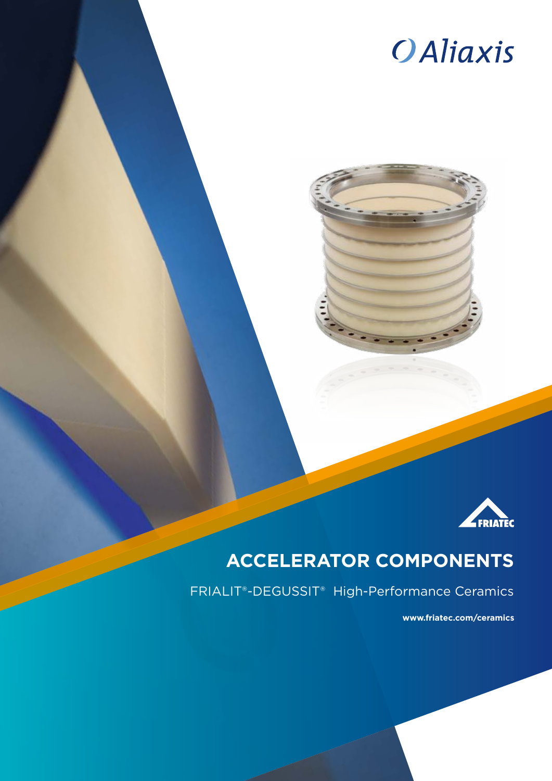# **OAliaxis**



# **ACCELERATOR COMPONENTS**

FRIALIT®-DEGUSSIT® High-Performance Ceramics

**www.friatec.com/ceramics**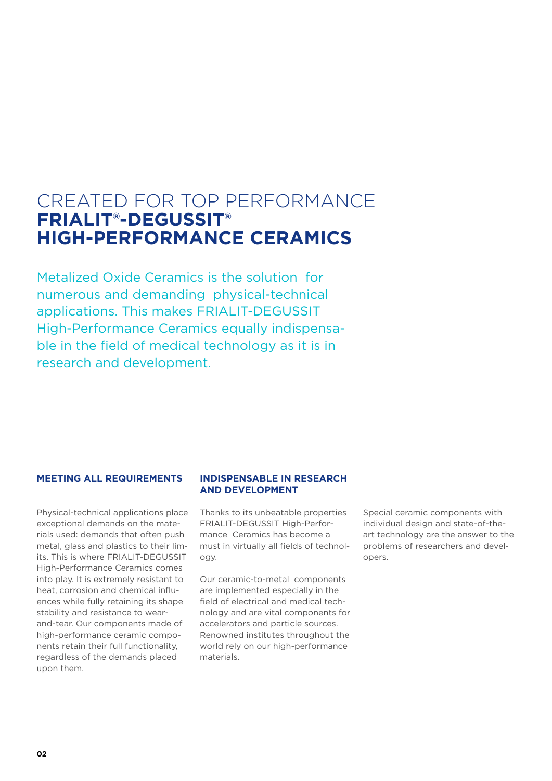# CREATED FOR TOP PERFORMANCE **FRIALIT®-DEGUSSIT® HIGH-PERFORMANCE CERAMICS**

Metalized Oxide Ceramics is the solution for numerous and demanding physical-technical applications. This makes FRIALIT-DEGUSSIT High-Performance Ceramics equally indispensable in the field of medical technology as it is in research and development.

#### **MEETING ALL REQUIREMENTS**

Physical-technical applications place exceptional demands on the materials used: demands that often push metal, glass and plastics to their limits. This is where FRIALIT-DEGUSSIT High-Performance Ceramics comes into play. It is extremely resistant to heat, corrosion and chemical influences while fully retaining its shape stability and resistance to wearand-tear. Our components made of high-performance ceramic components retain their full functionality, regardless of the demands placed upon them.

#### **INDISPENSABLE IN RESEARCH AND DEVELOPMENT**

Thanks to its unbeatable properties FRIALIT-DEGUSSIT High-Performance Ceramics has become a must in virtually all fields of technology.

Our ceramic-to-metal components are implemented especially in the field of electrical and medical technology and are vital components for accelerators and particle sources. Renowned institutes throughout the world rely on our high-performance materials.

Special ceramic components with individual design and state-of-theart technology are the answer to the problems of researchers and developers.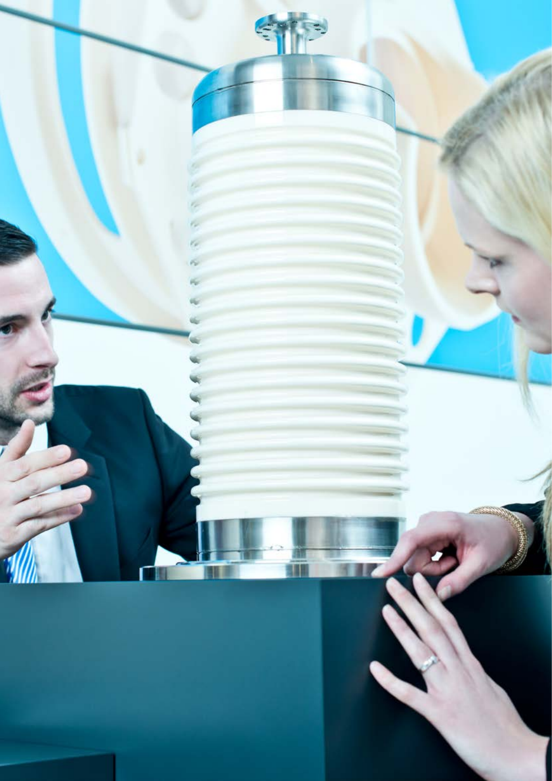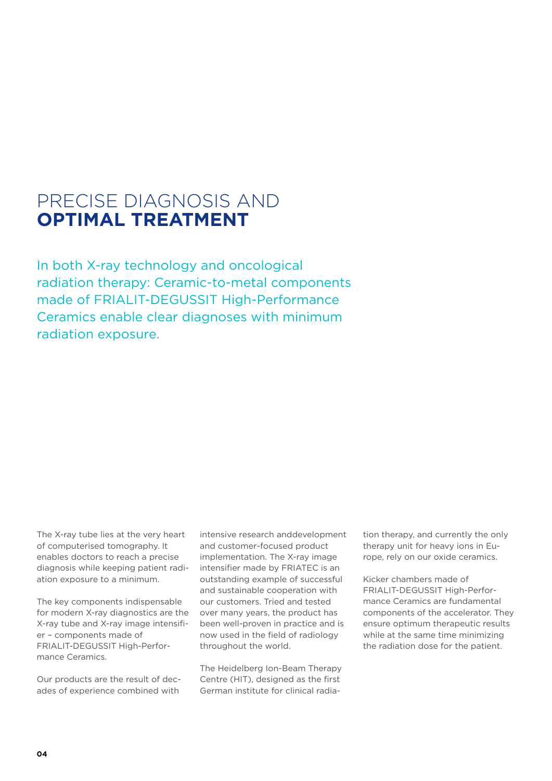# PRECISE DIAGNOSIS AND **OPTIMAL TREATMENT**

In both X-ray technology and oncological radiation therapy: Ceramic-to-metal components made of FRIALIT-DEGUSSIT High-Performance Ceramics enable clear diagnoses with minimum radiation exposure.

The X-ray tube lies at the very heart of computerised tomography. It enables doctors to reach a precise diagnosis while keeping patient radiation exposure to a minimum.

The key components indispensable for modern X-ray diagnostics are the X-ray tube and X-ray image intensifier – components made of FRIALIT-DEGUSSIT High-Performance Ceramics.

Our products are the result of decades of experience combined with

intensive research anddevelopment and customer-focused product implementation. The X-ray image intensifier made by FRIATEC is an outstanding example of successful and sustainable cooperation with our customers. Tried and tested over many years, the product has been well-proven in practice and is now used in the field of radiology throughout the world.

The Heidelberg Ion-Beam Therapy Centre (HIT), designed as the first German institute for clinical radiation therapy, and currently the only therapy unit for heavy ions in Europe, rely on our oxide ceramics.

Kicker chambers made of FRIALIT-DEGUSSIT High-Performance Ceramics are fundamental components of the accelerator. They ensure optimum therapeutic results while at the same time minimizing the radiation dose for the patient.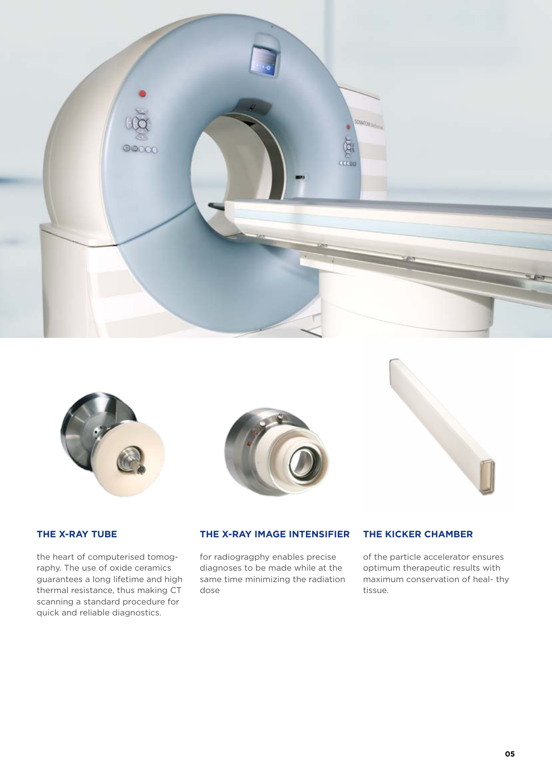







the heart of computerised tomography. The use of oxide ceramics guarantees a long lifetime and high thermal resistance, thus making CT scanning a standard procedure for quick and reliable diagnostics.

#### **THE X-RAY IMAGE INTENSIFIER**

for radiogragphy enables precise diagnoses to be made while at the same time minimizing the radiation dose

#### **THE KICKER CHAMBER**

of the particle accelerator ensures optimum therapeutic results with maximum conservation of heal- thy tissue.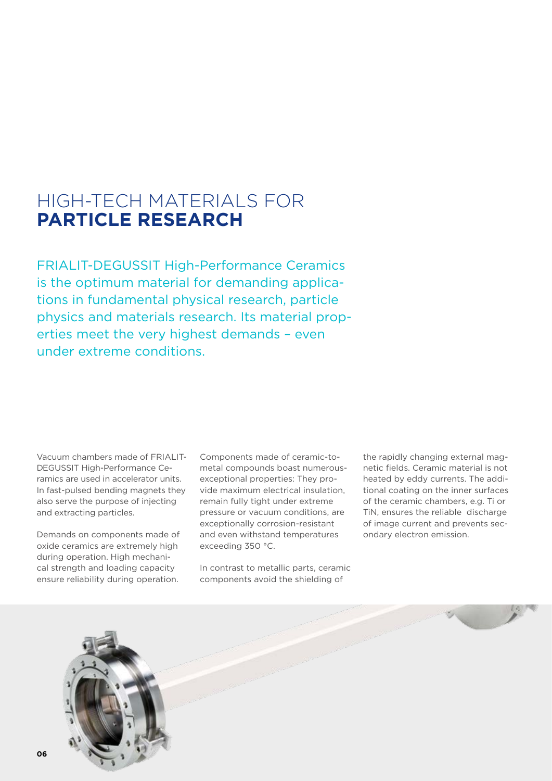# HIGH-TECH MATERIALS FOR **PARTICLE RESEARCH**

FRIALIT-DEGUSSIT High-Performance Ceramics is the optimum material for demanding applications in fundamental physical research, particle physics and materials research. Its material properties meet the very highest demands – even under extreme conditions.

Vacuum chambers made of FRIALIT-DEGUSSIT High-Performance Ceramics are used in accelerator units. In fast-pulsed bending magnets they also serve the purpose of injecting and extracting particles.

Demands on components made of oxide ceramics are extremely high during operation. High mechanical strength and loading capacity ensure reliability during operation.

Components made of ceramic-tometal compounds boast numerousexceptional properties: They provide maximum electrical insulation, remain fully tight under extreme pressure or vacuum conditions, are exceptionally corrosion-resistant and even withstand temperatures exceeding 350 °C.

In contrast to metallic parts, ceramic components avoid the shielding of

the rapidly changing external magnetic fields. Ceramic material is not heated by eddy currents. The additional coating on the inner surfaces of the ceramic chambers, e.g. Ti or TiN, ensures the reliable discharge of image current and prevents secondary electron emission.

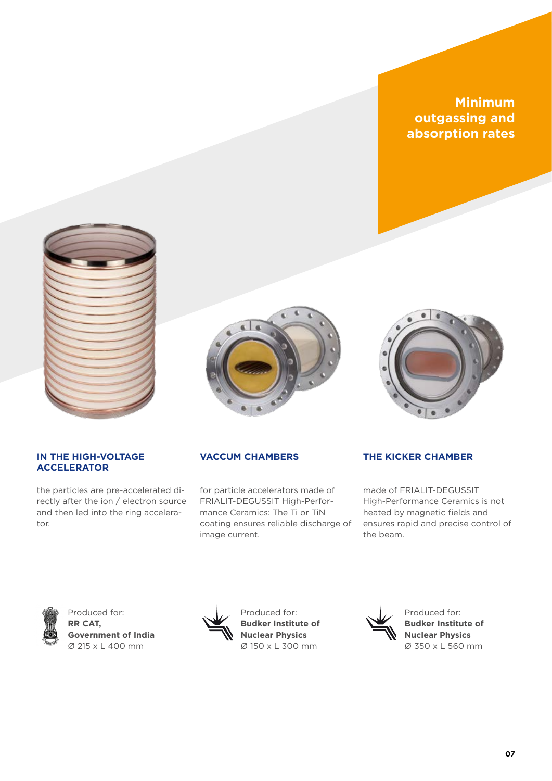**Minimum outgassing and absorption rates**







#### **IN THE HIGH-VOLTAGE ACCELERATOR**

the particles are pre-accelerated directly after the ion / electron source and then led into the ring accelerator.

#### **VACCUM CHAMBERS**

for particle accelerators made of FRIALIT-DEGUSSIT High-Performance Ceramics: The Ti or TiN coating ensures reliable discharge of image current.

#### **THE KICKER CHAMBER**

made of FRIALIT-DEGUSSIT High-Performance Ceramics is not heated by magnetic fields and ensures rapid and precise control of the beam.



Produced for: **RR CAT, Government of India** Ø 215 x L 400 mm



Produced for: **Budker Institute of Nuclear Physics** Ø 150 x L 300 mm



Produced for: **Budker Institute of Nuclear Physics** Ø 350 x L 560 mm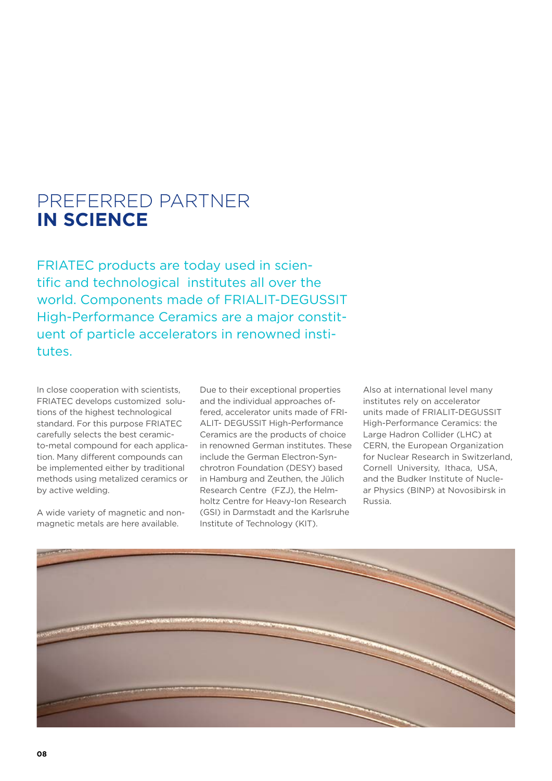## PREFERRED PARTNER **IN SCIENCE**

FRIATEC products are today used in scientific and technological institutes all over the world. Components made of FRIALIT-DEGUSSIT High-Performance Ceramics are a major constituent of particle accelerators in renowned institutes.

In close cooperation with scientists, FRIATEC develops customized solutions of the highest technological standard. For this purpose FRIATEC carefully selects the best ceramicto-metal compound for each application. Many different compounds can be implemented either by traditional methods using metalized ceramics or by active welding.

A wide variety of magnetic and nonmagnetic metals are here available.

Due to their exceptional properties and the individual approaches offered, accelerator units made of FRI-ALIT- DEGUSSIT High-Performance Ceramics are the products of choice in renowned German institutes. These include the German Electron-Synchrotron Foundation (DESY) based in Hamburg and Zeuthen, the Jülich Research Centre (FZJ), the Helmholtz Centre for Heavy-Ion Research (GSI) in Darmstadt and the Karlsruhe Institute of Technology (KIT).

Also at international level many institutes rely on accelerator units made of FRIALIT-DEGUSSIT High-Performance Ceramics: the Large Hadron Collider (LHC) at CERN, the European Organization for Nuclear Research in Switzerland, Cornell University, Ithaca, USA, and the Budker Institute of Nuclear Physics (BINP) at Novosibirsk in Russia.

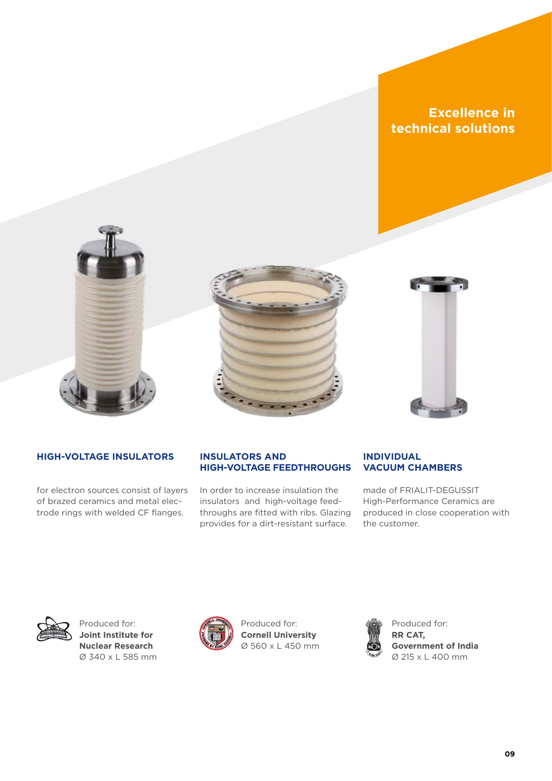### **Excellence in technical solutions**







#### **HIGH-VOLTAGE INSULATORS**

for electron sources consist of layers of brazed ceramics and metal electrode rings with welded CF flanges.

#### **INSULATORS AND HIGH-VOLTAGE FEEDTHROUGHS**

In order to increase insulation the insulators and high-voltage feedthroughs are fitted with ribs. Glazing provides for a dirt-resistant surface.

#### **INDIVIDUAL VACUUM CHAMBERS**

made of FRIALIT-DEGUSSIT High-Performance Ceramics are produced in close cooperation with the customer.



Produced for: **Joint Institute for Nuclear Research** Ø 340 x L 585 mm



Produced for: **Cornell University**  $\varnothing$  560 x L 450 mm



Produced for: **RR CAT, Government of India** Ø 215 x L 400 mm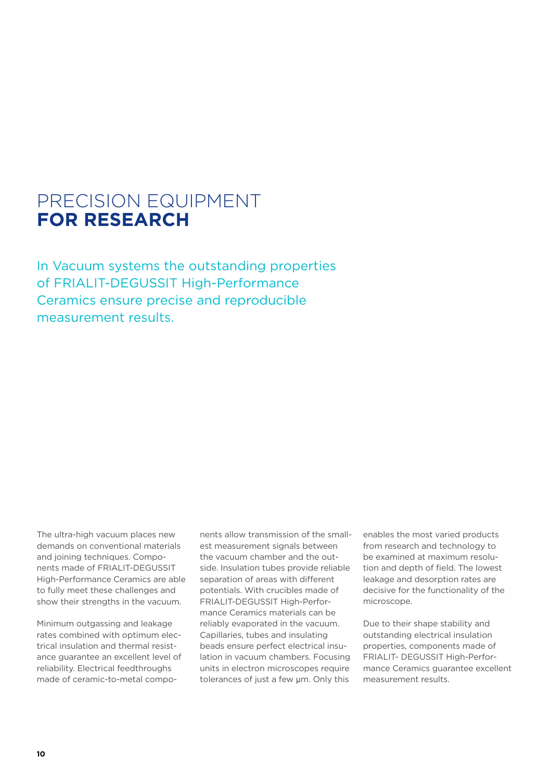# PRECISION EQUIPMENT **FOR RESEARCH**

In Vacuum systems the outstanding properties of FRIALIT-DEGUSSIT High-Performance Ceramics ensure precise and reproducible measurement results.

The ultra-high vacuum places new demands on conventional materials and joining techniques. Components made of FRIALIT-DEGUSSIT High-Performance Ceramics are able to fully meet these challenges and show their strengths in the vacuum.

Minimum outgassing and leakage rates combined with optimum electrical insulation and thermal resistance guarantee an excellent level of reliability. Electrical feedthroughs made of ceramic-to-metal components allow transmission of the smallest measurement signals between the vacuum chamber and the outside. Insulation tubes provide reliable separation of areas with different potentials. With crucibles made of FRIALIT-DEGUSSIT High-Performance Ceramics materials can be reliably evaporated in the vacuum. Capillaries, tubes and insulating beads ensure perfect electrical insulation in vacuum chambers. Focusing units in electron microscopes require tolerances of just a few µm. Only this

enables the most varied products from research and technology to be examined at maximum resolution and depth of field. The lowest leakage and desorption rates are decisive for the functionality of the microscope.

Due to their shape stability and outstanding electrical insulation properties, components made of FRIALIT- DEGUSSIT High-Performance Ceramics guarantee excellent measurement results.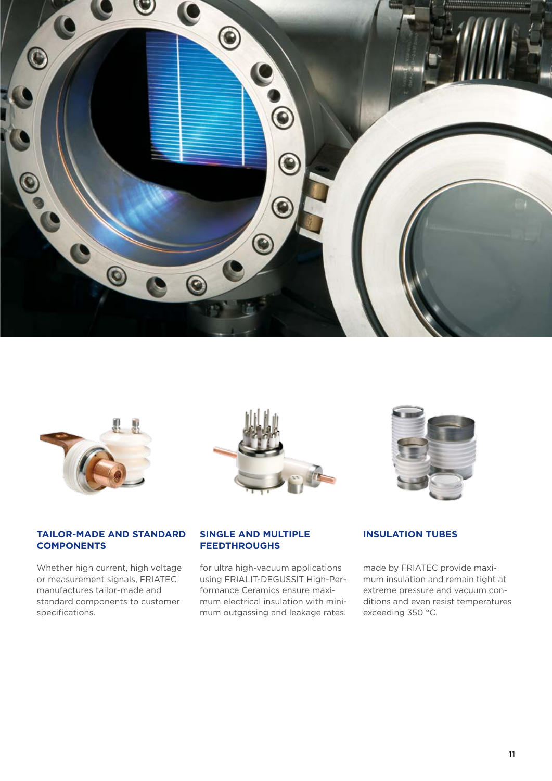



#### **TAILOR-MADE AND STANDARD COMPONENTS**

Whether high current, high voltage or measurement signals, FRIATEC manufactures tailor-made and standard components to customer specifications.





#### **SINGLE AND MULTIPLE FEEDTHROUGHS**

for ultra high-vacuum applications using FRIALIT-DEGUSSIT High-Performance Ceramics ensure maximum electrical insulation with minimum outgassing and leakage rates.

#### **INSULATION TUBES**

made by FRIATEC provide maximum insulation and remain tight at extreme pressure and vacuum conditions and even resist temperatures exceeding 350 °C.